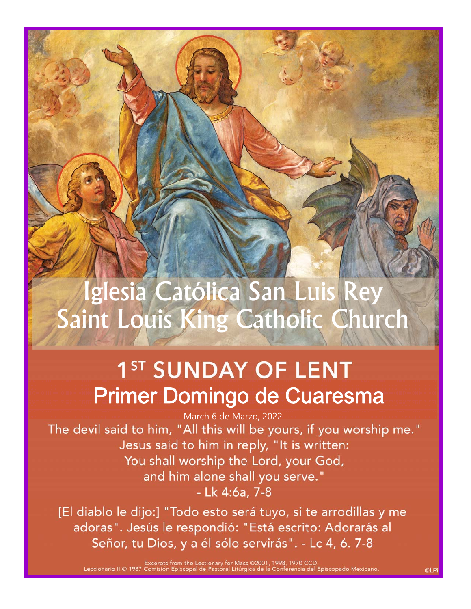# Iglesia Católica San Luis Rey Saint Louis King Catholic Church

# 1<sup>ST</sup> SUNDAY OF LENT Primer Domingo de Cuaresma

March 6 de Marzo, 2022<br>"The devil said to him, "All this will be yours, if you worship me." Jesus said to him in reply, "It is written: You shall worship the Lord, your God, and him alone shall you serve." - Lk 4:6a, 7-8

[El diablo le dijo:] "Todo esto será tuyo, si te arrodillas y me adoras". Jesús le respondió: "Está escrito: Adorarás al Señor, tu Dios, y a él sólo servirás". - Lc 4, 6. 7-8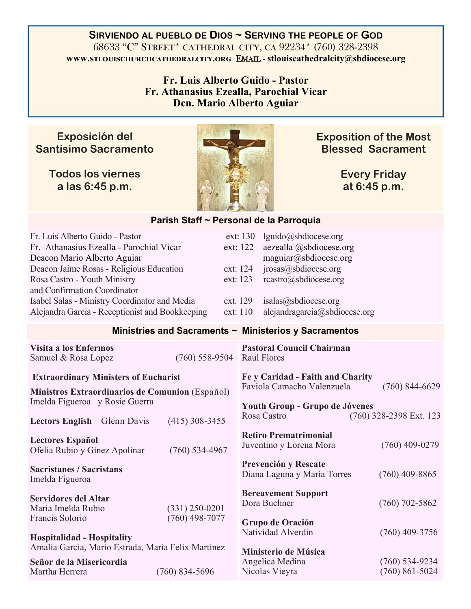**SIRVIENDO AL PUEBLO DE DIOS ~ SERVING THE PEOPLE OF GOD** 68633 "C" STREET\* CATHEDRAL CITY, CA 92234\* (760) 328-2398 **www.stlouischurchcathedralcity.org EMAIL - stlouiscathedralcity@sbdiocese.org** 

> **Fr. Luis Alberto Guido - Pastor Fr. Athanasius Ezealla, Parochial Vicar Dcn. Mario Alberto Aguiar**

### **Exposición del Santísimo Sacramento**

**Todos los viernes a las 6:45 p.m.** 



**Exposition of the Most Blessed Sacrament** 

> **Every Friday at 6:45 p.m.**

| Parish Staff ~ Personal de la Parroquia                                                                                                                                                                                                                                                                                    |                                      |                                                          |                                                                                    |                                                                                                                                                                                      |  |                  |  |
|----------------------------------------------------------------------------------------------------------------------------------------------------------------------------------------------------------------------------------------------------------------------------------------------------------------------------|--------------------------------------|----------------------------------------------------------|------------------------------------------------------------------------------------|--------------------------------------------------------------------------------------------------------------------------------------------------------------------------------------|--|------------------|--|
| Fr. Luis Alberto Guido - Pastor<br>Fr. Athanasius Ezealla - Parochial Vicar<br>Deacon Mario Alberto Aguiar<br>Deacon Jaime Rosas - Religious Education<br>Rosa Castro - Youth Ministry<br>and Confirmation Coordinator<br>Isabel Salas - Ministry Coordinator and Media<br>Alejandra Garcia - Receptionist and Bookkeeping |                                      | ext: 122<br>ext: 124<br>ext: 123<br>ext. 129<br>ext: 110 | ext: 130                                                                           | lguido@sbdiocese.org<br>aezealla @sbdiocese.org<br>maguiar@sbdiocese.org<br>iposas@s b diocese.org<br>rcastro@sbdiocese.org<br>isalas@sbdiocese.org<br>aleiandragarcia@sbdiocese.org |  |                  |  |
| Ministries and Sacraments ~ Ministerios y Sacramentos                                                                                                                                                                                                                                                                      |                                      |                                                          |                                                                                    |                                                                                                                                                                                      |  |                  |  |
| Visita a los Enfermos<br>$(760) 558 - 9504$<br>Samuel & Rosa Lopez                                                                                                                                                                                                                                                         |                                      |                                                          | <b>Pastoral Council Chairman</b><br><b>Raul Flores</b>                             |                                                                                                                                                                                      |  |                  |  |
| <b>Extraordinary Ministers of Eucharist</b>                                                                                                                                                                                                                                                                                |                                      |                                                          | Fe y Caridad - Faith and Charity<br>Faviola Camacho Valenzuela<br>$(760)$ 844-6629 |                                                                                                                                                                                      |  |                  |  |
| Ministros Extraordinarios de Comunion (Español)<br>Imelda Figueroa y Rosie Guerra<br>$(415)$ 308-3455<br>Lectors English Glenn Davis                                                                                                                                                                                       |                                      |                                                          | Youth Group - Grupo de Jóvenes<br>Rosa Castro<br>(760) 328-2398 Ext. 123           |                                                                                                                                                                                      |  |                  |  |
| <b>Lectores Español</b><br>Ofelia Rubio y Ginez Apolinar                                                                                                                                                                                                                                                                   | $(760)$ 534-4967                     |                                                          |                                                                                    | <b>Retiro Prematrimonial</b><br>Juventino y Lorena Mora                                                                                                                              |  | $(760)$ 409-0279 |  |
| <b>Sacristanes / Sacristans</b><br>Imelda Figueroa                                                                                                                                                                                                                                                                         |                                      |                                                          |                                                                                    | <b>Prevención y Rescate</b><br>Diana Laguna y María Torres                                                                                                                           |  | $(760)$ 409-8865 |  |
| <b>Servidores del Altar</b><br>Maria Imelda Rubio<br>Francis Solorio                                                                                                                                                                                                                                                       | $(331)$ 250-0201<br>$(760)$ 498-7077 |                                                          |                                                                                    | <b>Bereavement Support</b><br>Dora Buchner                                                                                                                                           |  | $(760)$ 702-5862 |  |
| <b>Hospitalidad - Hospitality</b>                                                                                                                                                                                                                                                                                          |                                      |                                                          |                                                                                    | Grupo de Oración<br>Natividad Alverdin                                                                                                                                               |  | $(760)$ 409-3756 |  |
| Amalia Garcia, Mario Estrada, Maria Felix Martinez<br>Señor de la Misericordia                                                                                                                                                                                                                                             |                                      |                                                          |                                                                                    | Ministerio de Música<br>Angelica Medina<br>$(760)$ 534-9234                                                                                                                          |  |                  |  |
| Martha Herrera                                                                                                                                                                                                                                                                                                             | $(760)$ 834-5696                     |                                                          |                                                                                    | Nicolas Vieyra                                                                                                                                                                       |  | $(760)$ 861-5024 |  |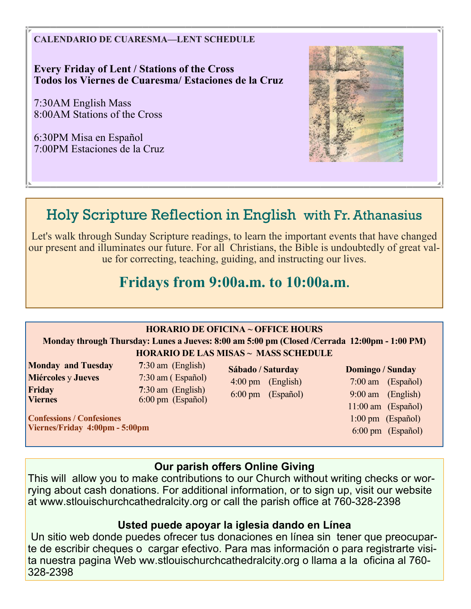**CALENDARIO DE CUARESMA—LENT SCHEDULE** 

**Every Friday of Lent / Stations of the Cross Todos los Viernes de Cuaresma/ Estaciones de la Cruz** 

7:30AM English Mass 8:00AM Stations of the Cross

6:30PM Misa en Español 7:00PM Estaciones de la Cruz



# Holy Scripture Reflection in English with Fr. Athanasius

Let's walk through Sunday Scripture readings, to learn the important events that have changed our present and illuminates our future. For all Christians, the Bible is undoubtedly of great value for correcting, teaching, guiding, and instructing our lives.

# **Fridays from 9:00a.m. to 10:00a.m.**

### **HORARIO DE OFICINA ~ OFFICE HOURS**

### **Monday through Thursday: Lunes a Jueves: 8:00 am 5:00 pm (Closed /Cerrada 12:00pm - 1:00 PM) HORARIO DE LAS MISAS ~ MASS SCHEDULE**

**Monday and Tuesday 7**:30 am (English) **Miércoles** y **Jueves** 7:30 am ( Español) **Friday** 7:30 am (English)<br> **Viernes** 6:00 pm (Español)

**Confessions / Confesiones Viernes/Friday 4:00pm - 5:00pm** 

**Viernes** 6:00 pm (Español)

**Sábado / Saturday**  4:00 pm (English) 6:00 pm (Español)

### **Domingo / Sunday**

 7:00 am (Español) 9:00 am (English) 11:00 am (Español) 1:00 pm (Español) 6:00 pm (Español)

### **Our parish offers Online Giving**

This will allow you to make contributions to our Church without writing checks or worrying about cash donations. For additional information, or to sign up, visit our website at www.stlouischurchcathedralcity.org or call the parish office at 760-328-2398

### **Usted puede apoyar la iglesia dando en Línea**

 Un sitio web donde puedes ofrecer tus donaciones en línea sin tener que preocuparte de escribir cheques o cargar efectivo. Para mas información o para registrarte visita nuestra pagina Web ww.stlouischurchcathedralcity.org o llama a la oficina al 760- 328-2398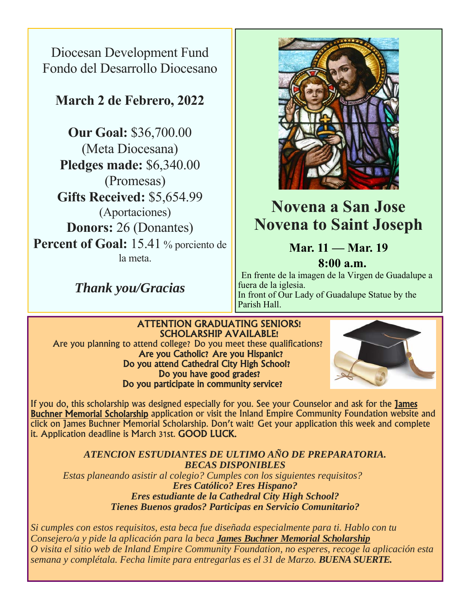Diocesan Development Fund Fondo del Desarrollo Diocesano

## **March 2 de Febrero, 2022**

**Our Goal:** \$36,700.00 (Meta Diocesana) **Pledges made:** \$6,340.00 (Promesas) **Gifts Received:** \$5,654.99 (Aportaciones) **Donors:** 26 (Donantes) Percent of Goal: 15.41 % porciento de la meta.

*Thank you/Gracias* 



# **Novena a San Jose Novena to Saint Joseph**

# **Mar. 11 — Mar. 19**

 **8:00 a.m.** En frente de la imagen de la Virgen de Guadalupe a fuera de la iglesia. In front of Our Lady of Guadalupe Statue by the Parish Hall.

## ATTENTION GRADUATING SENIORS! SCHOLARSHIP AVAILABLE! Are you planning to attend college? Do you meet these qualifications? Are you Catholic? Are you Hispanic? Do you attend Cathedral City High School? Do you have good grades?<br>Do you participate in community service?



If you do, this scholarship was designed especially for you. See your Counselor and ask for the James Buchner Memorial Scholarship application or visit the Inland Empire Community Foundation website and click on James Buchner Memorial Scholarship. Don't wait! Get your application this week and complete it. Application deadline is March 31st. GOOD LUCK.

*ATENCION ESTUDIANTES DE ULTIMO AÑO DE PREPARATORIA. BECAS DISPONIBLES Estas planeando asistir al colegio? Cumples con los siguientes requisitos? Eres Católico? Eres Hispano? Eres estudiante de la Cathedral City High School? Tienes Buenos grados? Participas en Servicio Comunitario?* 

*Si cumples con estos requisitos, esta beca fue diseñada especialmente para ti. Hablo con tu Consejero/a y pide la aplicación para la beca James Buchner Memorial Scholarship O visita el sitio web de Inland Empire Community Foundation, no esperes, recoge la aplicación esta semana y complétala. Fecha limite para entregarlas es el 31 de Marzo. BUENA SUERTE.*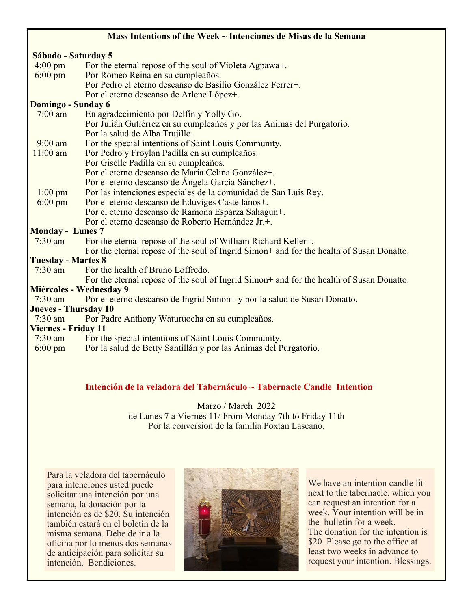### **Mass Intentions of the Week ~ Intenciones de Misas de la Semana**

### **Sábado - Saturday 5**

- 4:00 pm For the eternal repose of the soul of Violeta Agpawa+.
- 6:00 pm Por Romeo Reina en su cumpleaños. Por Pedro el eterno descanso de Basilio González Ferrer+. Por el eterno descanso de Arlene López+.

#### **Domingo - Sunday 6**

- 7:00 am En agradecimiento por Delfin y Yolly Go. Por Julián Gutiérrez en su cumpleaños y por las Animas del Purgatorio. Por la salud de Alba Trujillo.
- 
- 9:00 am For the special intentions of Saint Louis Community.<br>11:00 am Por Pedro v Frovlan Padilla en su cumpleaños. Por Pedro y Froylan Padilla en su cumpleaños.
	- Por Giselle Padilla en su cumpleaños.
	- Por el eterno descanso de María Celina González+.
	- Por el eterno descanso de Ángela García Sánchez+.
- 1:00 pm Por las intenciones especiales de la comunidad de San Luis Rey.
- 6:00 pm Por el eterno descanso de Eduviges Castellanos+. Por el eterno descanso de Ramona Esparza Sahagun+. Por el eterno descanso de Roberto Hernández Jr.+.

# **Monday - Lunes 7**<br>7:30 am For th

For the eternal repose of the soul of William Richard Keller+.

For the eternal repose of the soul of Ingrid Simon+ and for the health of Susan Donatto.

### **Tuesday - Martes 8**

7:30 am For the health of Bruno Loffredo.

For the eternal repose of the soul of Ingrid Simon+ and for the health of Susan Donatto.

### **Miércoles - Wednesday 9**

7:30 am Por el eterno descanso de Ingrid Simon+ y por la salud de Susan Donatto.

### **Jueves - Thursday 10**

7:30 am Por Padre Anthony Waturuocha en su cumpleaños.

### **Viernes - Friday 11**

- 7:30 am For the special intentions of Saint Louis Community.
- 6:00 pm Por la salud de Betty Santillán y por las Animas del Purgatorio.

### **Intención de la veladora del Tabernáculo ~ Tabernacle Candle Intention**

Marzo / March 2022 de Lunes 7 a Viernes 11/ From Monday 7th to Friday 11th Por la conversion de la familia Poxtan Lascano.

Para la veladora del tabernáculo para intenciones usted puede solicitar una intención por una semana, la donación por la intención es de \$20. Su intención también estará en el boletín de la misma semana. Debe de ir a la oficina por lo menos dos semanas de anticipación para solicitar su intención. Bendiciones.



We have an intention candle lit next to the tabernacle, which you can request an intention for a week. Your intention will be in the bulletin for a week. The donation for the intention is \$20. Please go to the office at least two weeks in advance to request your intention. Blessings.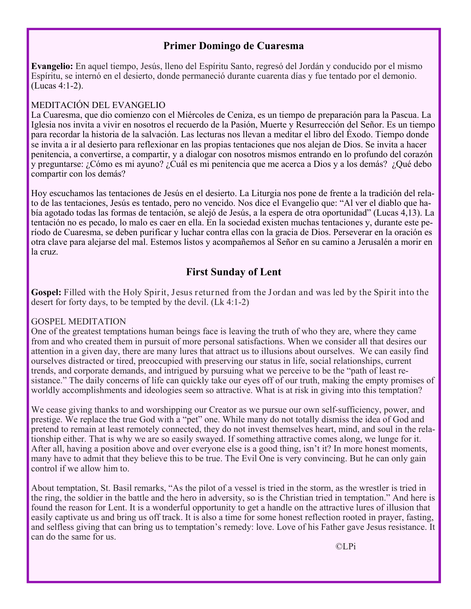### **Primer Domingo de Cuaresma**

**Evangelio:** En aquel tiempo, Jesús, lleno del Espíritu Santo, regresó del Jordán y conducido por el mismo Espíritu, se internó en el desierto, donde permaneció durante cuarenta días y fue tentado por el demonio. (Lucas 4:1-2).

### MEDITACIÓN DEL EVANGELIO

La Cuaresma, que dio comienzo con el Miércoles de Ceniza, es un tiempo de preparación para la Pascua. La Iglesia nos invita a vivir en nosotros el recuerdo de la Pasión, Muerte y Resurrección del Señor. Es un tiempo para recordar la historia de la salvación. Las lecturas nos llevan a meditar el libro del Éxodo. Tiempo donde se invita a ir al desierto para reflexionar en las propias tentaciones que nos alejan de Dios. Se invita a hacer penitencia, a convertirse, a compartir, y a dialogar con nosotros mismos entrando en lo profundo del corazón y preguntarse: ¿Cómo es mi ayuno? ¿Cuál es mi penitencia que me acerca a Dios y a los demás? ¿Qué debo compartir con los demás?

Hoy escuchamos las tentaciones de Jesús en el desierto. La Liturgia nos pone de frente a la tradición del relato de las tentaciones, Jesús es tentado, pero no vencido. Nos dice el Evangelio que: "Al ver el diablo que había agotado todas las formas de tentación, se alejó de Jesús, a la espera de otra oportunidad" (Lucas 4,13). La tentación no es pecado, lo malo es caer en ella. En la sociedad existen muchas tentaciones y, durante este período de Cuaresma, se deben purificar y luchar contra ellas con la gracia de Dios. Perseverar en la oración es otra clave para alejarse del mal. Estemos listos y acompañemos al Señor en su camino a Jerusalén a morir en la cruz.

### **First Sunday of Lent**

**Gospel:** Filled with the Holy Spirit, Jesus returned from the Jordan and was led by the Spirit into the desert for forty days, to be tempted by the devil. (Lk 4:1-2)

### GOSPEL MEDITATION

One of the greatest temptations human beings face is leaving the truth of who they are, where they came from and who created them in pursuit of more personal satisfactions. When we consider all that desires our attention in a given day, there are many lures that attract us to illusions about ourselves. We can easily find ourselves distracted or tired, preoccupied with preserving our status in life, social relationships, current trends, and corporate demands, and intrigued by pursuing what we perceive to be the "path of least resistance." The daily concerns of life can quickly take our eyes off of our truth, making the empty promises of worldly accomplishments and ideologies seem so attractive. What is at risk in giving into this temptation?

We cease giving thanks to and worshipping our Creator as we pursue our own self-sufficiency, power, and prestige. We replace the true God with a "pet" one. While many do not totally dismiss the idea of God and pretend to remain at least remotely connected, they do not invest themselves heart, mind, and soul in the relationship either. That is why we are so easily swayed. If something attractive comes along, we lunge for it. After all, having a position above and over everyone else is a good thing, isn't it? In more honest moments, many have to admit that they believe this to be true. The Evil One is very convincing. But he can only gain control if we allow him to.

About temptation, St. Basil remarks, "As the pilot of a vessel is tried in the storm, as the wrestler is tried in the ring, the soldier in the battle and the hero in adversity, so is the Christian tried in temptation." And here is found the reason for Lent. It is a wonderful opportunity to get a handle on the attractive lures of illusion that easily captivate us and bring us off track. It is also a time for some honest reflection rooted in prayer, fasting, and selfless giving that can bring us to temptation's remedy: love. Love of his Father gave Jesus resistance. It can do the same for us.